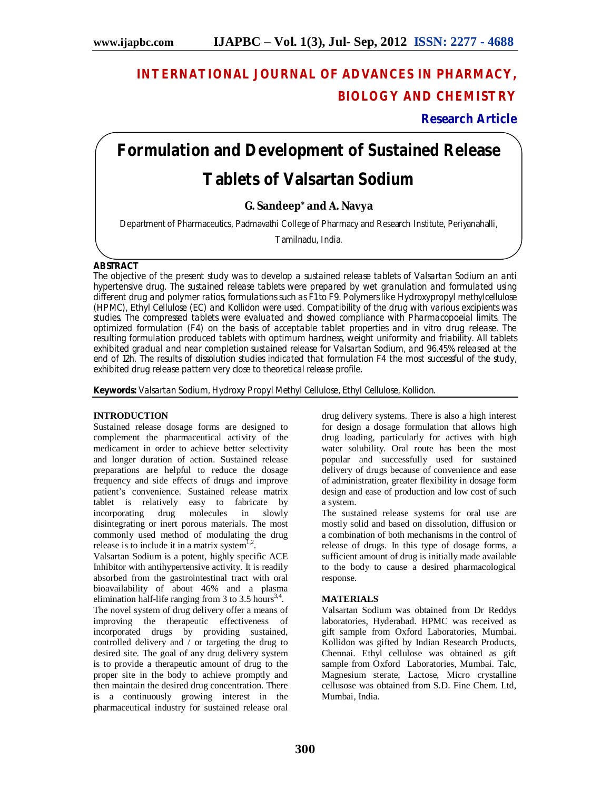## **INTERNATIONAL JOURNAL OF ADVANCES IN PHARMACY, BIOLOGY AND CHEMISTRY**

**Research Article**

# **Formulation and Development of Sustained Release Tablets of Valsartan Sodium**

## **G. Sandeep\* and A. Navya**

Department of Pharmaceutics, Padmavathi College of Pharmacy and Research Institute, Periyanahalli,

Tamilnadu, India.

## **ABSTRACT**

The objective of the present study was to develop a sustained release tablets of Valsartan Sodium an anti hypertensive drug. The sustained release tablets were prepared by wet granulation and formulated using different drug and polymer ratios, formulations such as F1 to F9. Polymers like Hydroxypropyl methylcellulose (HPMC), Ethyl Cellulose (EC) and Kollidon were used. Compatibility of the drug with various excipients was studies. The compressed tablets were evaluated and showed compliance with Pharmacopoeial limits. The optimized formulation (F4) on the basis of acceptable tablet properties and in vitro drug release. The resulting formulation produced tablets with optimum hardness, weight uniformity and friability. All tablets exhibited gradual and near completion sustained release for Valsartan Sodium, and 96.45% released at the end of 12h. The results of dissolution studies indicated that formulation F4 the most successful of the study, exhibited drug release pattern very close to theoretical release profile.

**Keywords:** Valsartan Sodium, Hydroxy Propyl Methyl Cellulose, Ethyl Cellulose, Kollidon.

## **INTRODUCTION**

Sustained release dosage forms are designed to complement the pharmaceutical activity of the medicament in order to achieve better selectivity and longer duration of action. Sustained release preparations are helpful to reduce the dosage frequency and side effects of drugs and improve patient's convenience. Sustained release matrix tablet is relatively easy to fabricate by incorporating drug molecules in slowly disintegrating or inert porous materials. The most commonly used method of modulating the drug release is to include it in a matrix system<sup>1,2</sup>.

Valsartan Sodium is a potent, highly specific ACE Inhibitor with antihypertensive activity. It is readily absorbed from the gastrointestinal tract with oral bioavailability of about 46% and a plasma elimination half-life ranging from 3 to 3.5 hours<sup>3,4</sup>.

The novel system of drug delivery offer a means of improving the therapeutic effectiveness of incorporated drugs by providing sustained, controlled delivery and / or targeting the drug to desired site. The goal of any drug delivery system is to provide a therapeutic amount of drug to the proper site in the body to achieve promptly and then maintain the desired drug concentration. There is a continuously growing interest in the pharmaceutical industry for sustained release oral

drug delivery systems. There is also a high interest for design a dosage formulation that allows high drug loading, particularly for actives with high water solubility. Oral route has been the most popular and successfully used for sustained delivery of drugs because of convenience and ease of administration, greater flexibility in dosage form design and ease of production and low cost of such a system.

The sustained release systems for oral use are mostly solid and based on dissolution, diffusion or a combination of both mechanisms in the control of release of drugs. In this type of dosage forms, a sufficient amount of drug is initially made available to the body to cause a desired pharmacological response.

## **MATERIALS**

Valsartan Sodium was obtained from Dr Reddys laboratories, Hyderabad. HPMC was received as gift sample from Oxford Laboratories, Mumbai. Kollidon was gifted by Indian Research Products, Chennai. Ethyl cellulose was obtained as gift sample from Oxford Laboratories, Mumbai. Talc, Magnesium sterate, Lactose, Micro crystalline cellusose was obtained from S.D. Fine Chem. Ltd, Mumbai, India.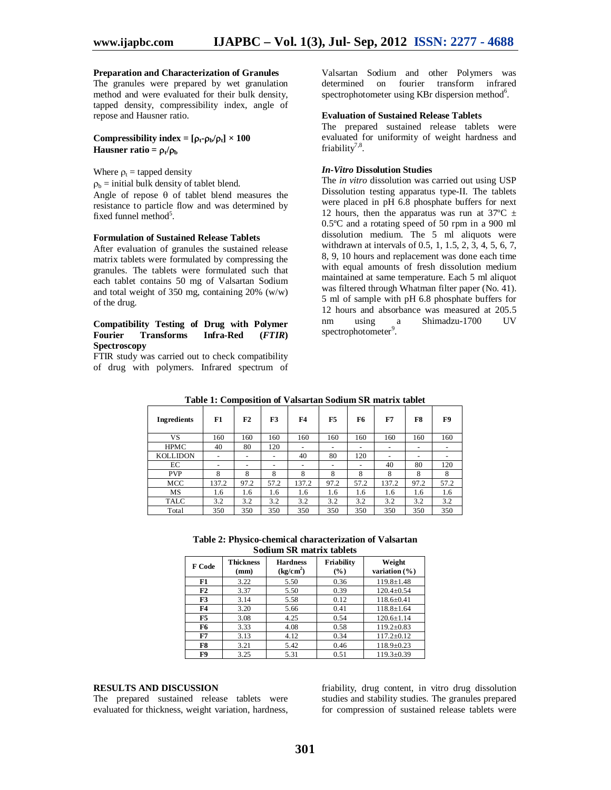#### **Preparation and Characterization of Granules**

The granules were prepared by wet granulation method and were evaluated for their bulk density, tapped density, compressibility index, angle of repose and Hausner ratio.

## **Compressibility index =**  $[\rho_t \text{-} \rho_b / \rho_t] \times 100$ **Hausner ratio =**  $\rho_t/\rho_b$

Where  $\rho_t$  = tapped density

 $\rho_b$  = initial bulk density of tablet blend.

Angle of repose  $\theta$  of tablet blend measures the resistance to particle flow and was determined by fixed funnel method<sup>5</sup>.

### **Formulation of Sustained Release Tablets**

After evaluation of granules the sustained release matrix tablets were formulated by compressing the granules. The tablets were formulated such that each tablet contains 50 mg of Valsartan Sodium and total weight of 350 mg, containing 20% (w/w) of the drug.

#### **Compatibility Testing of Drug with Polymer Fourier Transforms Infra-Red (***FTIR***) Spectroscopy**

FTIR study was carried out to check compatibility of drug with polymers. Infrared spectrum of Valsartan Sodium and other Polymers was determined on fourier transform infrared spectrophotometer using KBr dispersion method<sup>6</sup>.

#### **Evaluation of Sustained Release Tablets**

The prepared sustained release tablets were evaluated for uniformity of weight hardness and friability<sup>7,8</sup>.

#### *In-Vitro* **Dissolution Studies**

The *in vitro* dissolution was carried out using USP Dissolution testing apparatus type-II. The tablets were placed in pH 6.8 phosphate buffers for next 12 hours, then the apparatus was run at  $37^{\circ}$ C  $\pm$ 0.5ºC and a rotating speed of 50 rpm in a 900 ml dissolution medium. The 5 ml aliquots were withdrawn at intervals of 0.5, 1, 1.5, 2, 3, 4, 5, 6, 7, 8, 9, 10 hours and replacement was done each time with equal amounts of fresh dissolution medium maintained at same temperature. Each 5 ml aliquot was filtered through Whatman filter paper (No. 41). 5 ml of sample with pH 6.8 phosphate buffers for 12 hours and absorbance was measured at 205.5 nm using a Shimadzu-1700 UV spectrophotometer<sup>9</sup>.

| <b>Ingredients</b> | F1    | F2   | F3   | <b>F4</b> | F5   | F6                       | F7                       | F8   | F9   |
|--------------------|-------|------|------|-----------|------|--------------------------|--------------------------|------|------|
| <b>VS</b>          | 160   | 160  | 160  | 160       | 160  | 160                      | 160                      | 160  | 160  |
| <b>HPMC</b>        | 40    | 80   | 120  | ۰         | ۰    | $\overline{\phantom{a}}$ | $\overline{\phantom{a}}$ | ۰    | ۰    |
| <b>KOLLIDON</b>    | -     |      | ۰    | 40        | 80   | 120                      | $\overline{\phantom{a}}$ | -    | ۰    |
| EC                 | -     |      | ۰    | ۰         | ۰    | $\overline{\phantom{a}}$ | 40                       | 80   | 120  |
| <b>PVP</b>         | 8     | 8    | 8    | 8         | 8    | 8                        | 8                        | 8    | 8    |
| <b>MCC</b>         | 137.2 | 97.2 | 57.2 | 137.2     | 97.2 | 57.2                     | 137.2                    | 97.2 | 57.2 |
| MS                 | 1.6   | 1.6  | 1.6  | 1.6       | 1.6  | 1.6                      | 1.6                      | 1.6  | 1.6  |
| <b>TALC</b>        | 3.2   | 3.2  | 3.2  | 3.2       | 3.2  | 3.2                      | 3.2                      | 3.2  | 3.2  |
| Total              | 350   | 350  | 350  | 350       | 350  | 350                      | 350                      | 350  | 350  |

**Table 1: Composition of Valsartan Sodium SR matrix tablet**

**Table 2: Physico-chemical characterization of Valsartan Sodium SR matrix tablets**

| F Code | <b>Thickness</b><br>(mm) | <b>Hardness</b><br>$\frac{\text{kg}}{\text{cm}^2}$ | Friability<br>$(\%)$ | Weight<br>variation $(\% )$ |
|--------|--------------------------|----------------------------------------------------|----------------------|-----------------------------|
| F1     | 3.22                     | 5.50                                               | 0.36                 | $119.8 \pm 1.48$            |
| F2     | 3.37                     | 5.50                                               | 0.39                 | $120.4 \pm 0.54$            |
| F3     | 3.14                     | 5.58                                               | 0.12                 | $118.6 \pm 0.41$            |
| F4     | 3.20                     | 5.66                                               | 0.41                 | $118.8 \pm 1.64$            |
| F5     | 3.08                     | 4.25                                               | 0.54                 | $120.6 \pm 1.14$            |
| F6     | 3.33                     | 4.08                                               | 0.58                 | $119.2 \pm 0.83$            |
| F7     | 3.13                     | 4.12                                               | 0.34                 | $117.2 \pm 0.12$            |
| F8     | 3.21                     | 5.42                                               | 0.46                 | $118.9 \pm 0.23$            |
| F9     | 3.25                     | 5.31                                               | 0.51                 | $119.3 \pm 0.39$            |

#### **RESULTS AND DISCUSSION**

The prepared sustained release tablets were evaluated for thickness, weight variation, hardness, friability, drug content, in vitro drug dissolution studies and stability studies. The granules prepared for compression of sustained release tablets were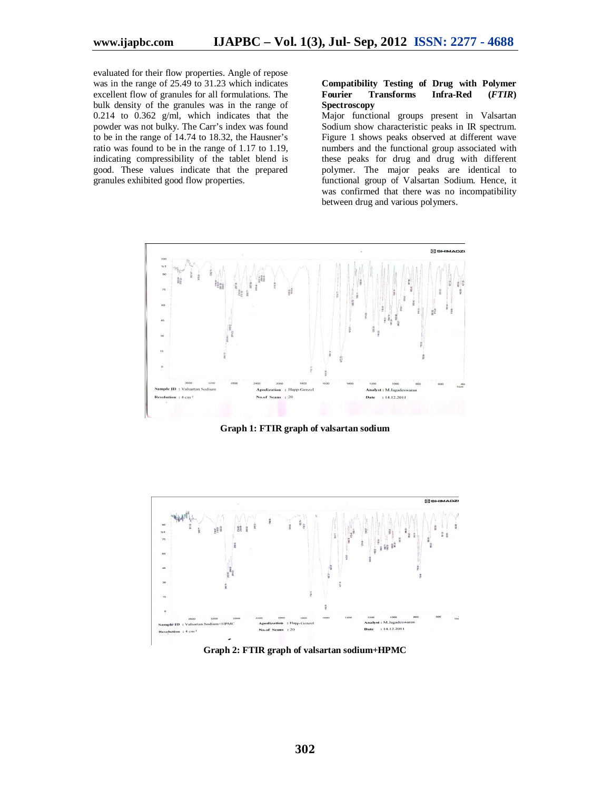evaluated for their flow properties. Angle of repose was in the range of 25.49 to 31.23 which indicates excellent flow of granules for all formulations. The bulk density of the granules was in the range of 0.214 to 0.362 g/ml, which indicates that the powder was not bulky. The Carr's index was found to be in the range of 14.74 to 18.32, the Hausner's ratio was found to be in the range of 1.17 to 1.19, indicating compressibility of the tablet blend is good. These values indicate that the prepared granules exhibited good flow properties.

#### **Compatibility Testing of Drug with Polymer Fourier Transforms Infra-Red (***FTIR***) Spectroscopy**

Major functional groups present in Valsartan Sodium show characteristic peaks in IR spectrum. Figure 1 shows peaks observed at different wave numbers and the functional group associated with these peaks for drug and drug with different polymer. The major peaks are identical to functional group of Valsartan Sodium. Hence, it was confirmed that there was no incompatibility between drug and various polymers.



**Graph 1: FTIR graph of valsartan sodium**



**Graph 2: FTIR graph of valsartan sodium+HPMC**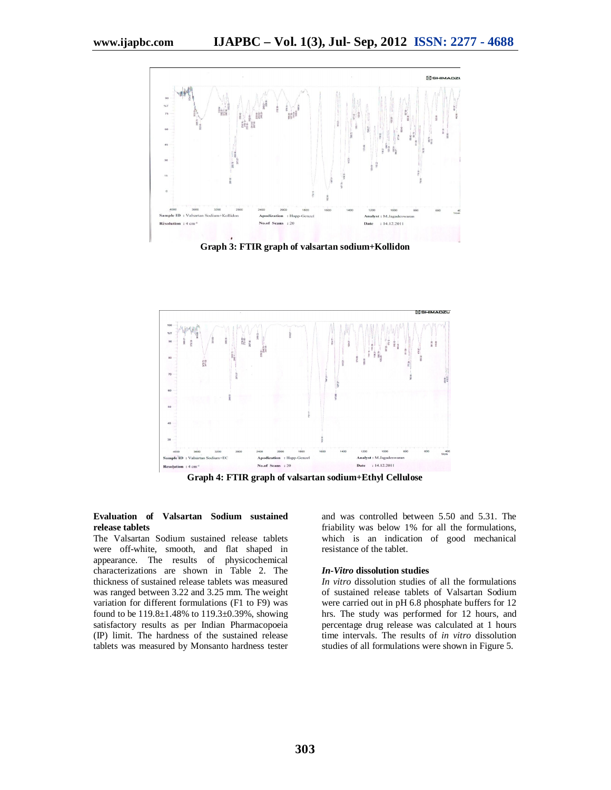

**Graph 3: FTIR graph of valsartan sodium+Kollidon**



**Graph 4: FTIR graph of valsartan sodium+Ethyl Cellulose**

#### **Evaluation of Valsartan Sodium sustained release tablets**

The Valsartan Sodium sustained release tablets were off-white, smooth, and flat shaped in appearance. The results of physicochemical characterizations are shown in Table 2. The thickness of sustained release tablets was measured was ranged between 3.22 and 3.25 mm. The weight variation for different formulations (F1 to F9) was found to be  $119.8 \pm 1.48\%$  to  $119.3 \pm 0.39\%$ , showing satisfactory results as per Indian Pharmacopoeia (IP) limit. The hardness of the sustained release tablets was measured by Monsanto hardness tester

and was controlled between 5.50 and 5.31. The friability was below 1% for all the formulations, which is an indication of good mechanical resistance of the tablet.

#### *In-Vitro* **dissolution studies**

*In vitro* dissolution studies of all the formulations of sustained release tablets of Valsartan Sodium were carried out in pH 6.8 phosphate buffers for 12 hrs. The study was performed for 12 hours, and percentage drug release was calculated at 1 hours time intervals. The results of *in vitro* dissolution studies of all formulations were shown in Figure 5.